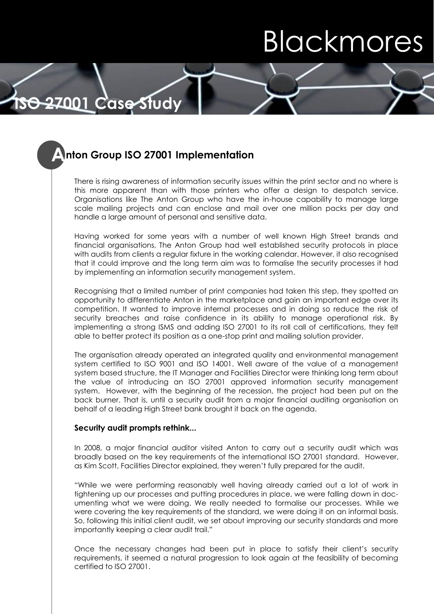# Blackmores

# **Anton Group ISO 27001 Implementation**

**ISO 27001 Case Study**

There is rising awareness of information security issues within the print sector and no where is this more apparent than with those printers who offer a design to despatch service. Organisations like The Anton Group who have the in-house capability to manage large scale mailing projects and can enclose and mail over one million packs per day and handle a large amount of personal and sensitive data.

Having worked for some years with a number of well known High Street brands and financial organisations, The Anton Group had well established security protocols in place with audits from clients a regular fixture in the working calendar. However, it also recognised that it could improve and the long term aim was to formalise the security processes it had by implementing an information security management system.

Recognising that a limited number of print companies had taken this step, they spotted an opportunity to differentiate Anton in the marketplace and gain an important edge over its competition. It wanted to improve internal processes and in doing so reduce the risk of security breaches and raise confidence in its ability to manage operational risk. By implementing a strong ISMS and adding ISO 27001 to its roll call of certifications, they felt able to better protect its position as a one-stop print and mailing solution provider.

The organisation already operated an integrated quality and environmental management system certified to ISO 9001 and ISO 14001. Well aware of the value of a management system based structure, the IT Manager and Facilities Director were thinking long term about the value of introducing an ISO 27001 approved information security management system. However, with the beginning of the recession, the project had been put on the back burner. That is, until a security audit from a major financial auditing organisation on behalf of a leading High Street bank brought it back on the agenda.

#### **Security audit prompts rethink...**

In 2008, a major financial auditor visited Anton to carry out a security audit which was broadly based on the key requirements of the international ISO 27001 standard. However, as Kim Scott, Facilities Director explained, they weren't fully prepared for the audit.

"While we were performing reasonably well having already carried out a lot of work in tightening up our processes and putting procedures in place, we were falling down in documenting what we were doing. We really needed to formalise our processes. While we were covering the key requirements of the standard, we were doing it on an informal basis. So, following this initial client audit, we set about improving our security standards and more importantly keeping a clear audit trail."

Once the necessary changes had been put in place to satisfy their client's security requirements, it seemed a natural progression to look again at the feasibility of becoming certified to ISO 27001.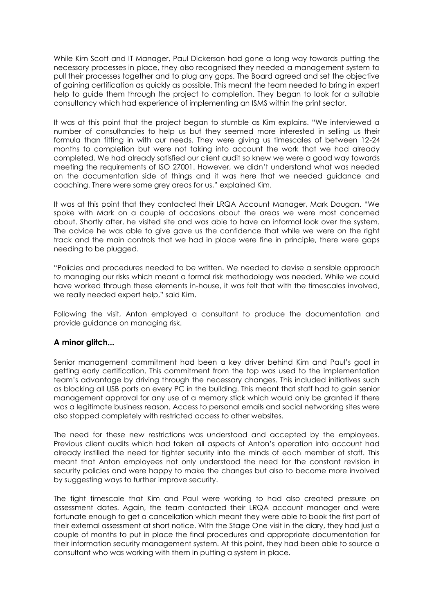While Kim Scott and IT Manager, Paul Dickerson had gone a long way towards putting the necessary processes in place, they also recognised they needed a management system to pull their processes together and to plug any gaps. The Board agreed and set the objective of gaining certification as quickly as possible. This meant the team needed to bring in expert help to guide them through the project to completion. They began to look for a suitable consultancy which had experience of implementing an ISMS within the print sector.

It was at this point that the project began to stumble as Kim explains. "We interviewed a number of consultancies to help us but they seemed more interested in selling us their formula than fitting in with our needs. They were giving us timescales of between 12-24 months to completion but were not taking into account the work that we had already completed. We had already satisfied our client audit so knew we were a good way towards meeting the requirements of ISO 27001. However, we didn't understand what was needed on the documentation side of things and it was here that we needed guidance and coaching. There were some grey areas for us," explained Kim.

It was at this point that they contacted their LRQA Account Manager, Mark Dougan. "We spoke with Mark on a couple of occasions about the areas we were most concerned about. Shortly after, he visited site and was able to have an informal look over the system. The advice he was able to give gave us the confidence that while we were on the right track and the main controls that we had in place were fine in principle, there were gaps needing to be plugged.

"Policies and procedures needed to be written. We needed to devise a sensible approach to managing our risks which meant a formal risk methodology was needed. While we could have worked through these elements in-house, it was felt that with the timescales involved, we really needed expert help," said Kim.

Following the visit, Anton employed a consultant to produce the documentation and provide guidance on managing risk.

#### **A minor glitch...**

Senior management commitment had been a key driver behind Kim and Paul's goal in getting early certification. This commitment from the top was used to the implementation team's advantage by driving through the necessary changes. This included initiatives such as blocking all USB ports on every PC in the building. This meant that staff had to gain senior management approval for any use of a memory stick which would only be granted if there was a legitimate business reason. Access to personal emails and social networking sites were also stopped completely with restricted access to other websites.

The need for these new restrictions was understood and accepted by the employees. Previous client audits which had taken all aspects of Anton's operation into account had already instilled the need for tighter security into the minds of each member of staff. This meant that Anton employees not only understood the need for the constant revision in security policies and were happy to make the changes but also to become more involved by suggesting ways to further improve security.

The tight timescale that Kim and Paul were working to had also created pressure on assessment dates. Again, the team contacted their LRQA account manager and were fortunate enough to get a cancellation which meant they were able to book the first part of their external assessment at short notice. With the Stage One visit in the diary, they had just a couple of months to put in place the final procedures and appropriate documentation for their information security management system. At this point, they had been able to source a consultant who was working with them in putting a system in place.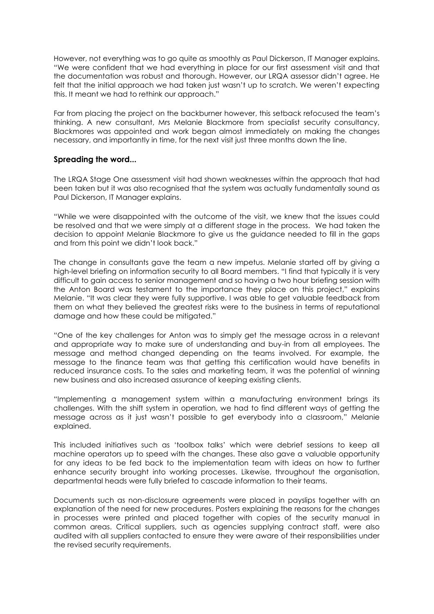However, not everything was to go quite as smoothly as Paul Dickerson, IT Manager explains. "We were confident that we had everything in place for our first assessment visit and that the documentation was robust and thorough. However, our LRQA assessor didn't agree. He felt that the initial approach we had taken just wasn't up to scratch. We weren't expecting this. It meant we had to rethink our approach."

Far from placing the project on the backburner however, this setback refocused the team's thinking. A new consultant, Mrs Melanie Blackmore from specialist security consultancy, Blackmores was appointed and work began almost immediately on making the changes necessary, and importantly in time, for the next visit just three months down the line.

#### **Spreading the word...**

The LRQA Stage One assessment visit had shown weaknesses within the approach that had been taken but it was also recognised that the system was actually fundamentally sound as Paul Dickerson, IT Manager explains.

"While we were disappointed with the outcome of the visit, we knew that the issues could be resolved and that we were simply at a different stage in the process. We had taken the decision to appoint Melanie Blackmore to give us the guidance needed to fill in the gaps and from this point we didn't look back."

The change in consultants gave the team a new impetus. Melanie started off by giving a high-level briefing on information security to all Board members. "I find that typically it is very difficult to gain access to senior management and so having a two hour briefing session with the Anton Board was testament to the importance they place on this project," explains Melanie. "It was clear they were fully supportive. I was able to get valuable feedback from them on what they believed the greatest risks were to the business in terms of reputational damage and how these could be mitigated."

"One of the key challenges for Anton was to simply get the message across in a relevant and appropriate way to make sure of understanding and buy-in from all employees. The message and method changed depending on the teams involved. For example, the message to the finance team was that getting this certification would have benefits in reduced insurance costs. To the sales and marketing team, it was the potential of winning new business and also increased assurance of keeping existing clients.

"Implementing a management system within a manufacturing environment brings its challenges. With the shift system in operation, we had to find different ways of getting the message across as it just wasn't possible to get everybody into a classroom," Melanie explained.

This included initiatives such as 'toolbox talks' which were debrief sessions to keep all machine operators up to speed with the changes. These also gave a valuable opportunity for any ideas to be fed back to the implementation team with ideas on how to further enhance security brought into working processes. Likewise, throughout the organisation, departmental heads were fully briefed to cascade information to their teams.

Documents such as non-disclosure agreements were placed in payslips together with an explanation of the need for new procedures. Posters explaining the reasons for the changes in processes were printed and placed together with copies of the security manual in common areas. Critical suppliers, such as agencies supplying contract staff, were also audited with all suppliers contacted to ensure they were aware of their responsibilities under the revised security requirements.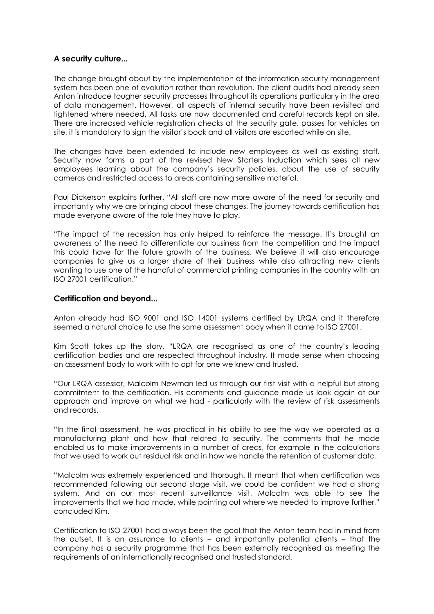# **A security culture...**

The change brought about by the implementation of the information security management system has been one of evolution rather than revolution. The client audits had already seen Anton introduce tougher security processes throughout its operations particularly in the area of data management. However, all aspects of internal security have been revisited and tightened where needed. All tasks are now documented and careful records kept on site. There are increased vehicle registration checks at the security gate, passes for vehicles on site, it is mandatory to sign the visitor's book and all visitors are escorted while on site.

The changes have been extended to include new employees as well as existing staff. Security now forms a part of the revised New Starters Induction which sees all new employees learning about the company's security policies, about the use of security cameras and restricted access to areas containing sensitive material.

Paul Dickerson explains further. "All staff are now more aware of the need for security and importantly why we are bringing about these changes. The journey towards certification has made everyone aware of the role they have to play.

"The impact of the recession has only helped to reinforce the message. It's brought an awareness of the need to differentiate our business from the competition and the impact this could have for the future growth of the business. We believe it will also encourage companies to give us a larger share of their business while also attracting new clients wanting to use one of the handful of commercial printing companies in the country with an ISO 27001 certification."

#### **Certification and beyond...**

Anton already had ISO 9001 and ISO 14001 systems certified by LRQA and it therefore seemed a natural choice to use the same assessment body when it came to ISO 27001.

Kim Scott takes up the story. "LRQA are recognised as one of the country's leading certification bodies and are respected throughout industry. It made sense when choosing an assessment body to work with to opt for one we knew and trusted.

"Our LRQA assessor, Malcolm Newman led us through our first visit with a helpful but strong commitment to the certification. His comments and guidance made us look again at our approach and improve on what we had - particularly with the review of risk assessments and records.

"In the final assessment, he was practical in his ability to see the way we operated as a manufacturing plant and how that related to security. The comments that he made enabled us to make improvements in a number of areas, for example in the calculations that we used to work out residual risk and in how we handle the retention of customer data.

"Malcolm was extremely experienced and thorough. It meant that when certification was recommended following our second stage visit, we could be confident we had a strong system. And on our most recent surveillance visit, Malcolm was able to see the improvements that we had made, while pointing out where we needed to improve further," concluded Kim.

Certification to ISO 27001 had always been the goal that the Anton team had in mind from the outset. It is an assurance to clients – and importantly potential clients – that the company has a security programme that has been externally recognised as meeting the requirements of an internationally recognised and trusted standard.